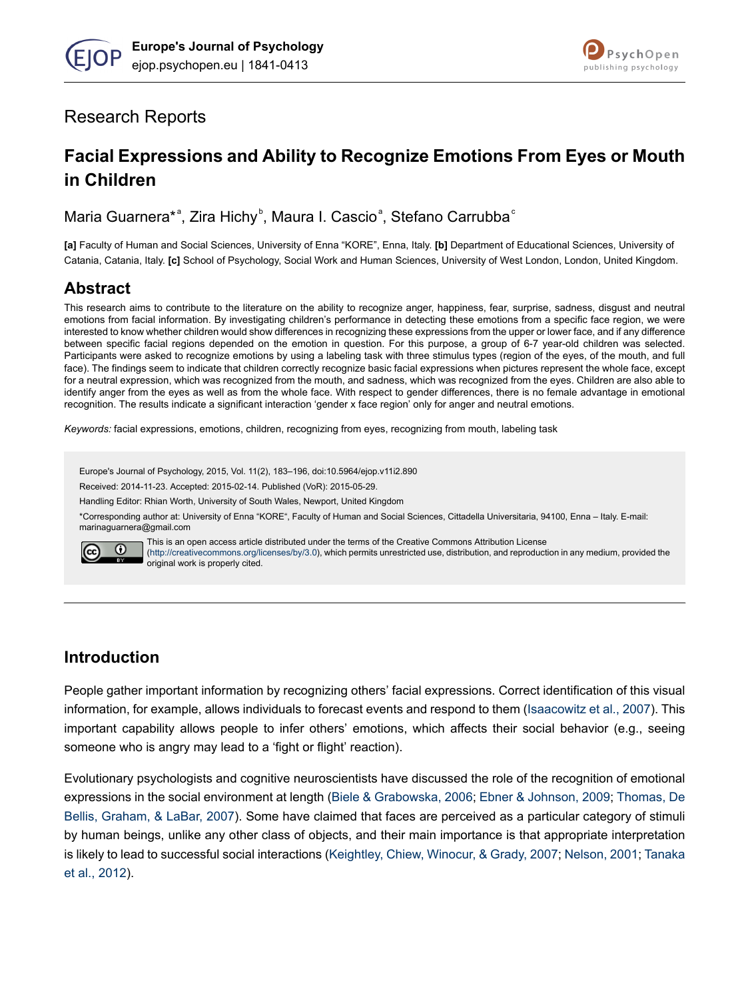

## Research Reports

# **Facial Expressions and Ability to Recognize Emotions From Eyes or Mouth in Children**

Maria Guarnera\*<sup>a</sup>, Zira Hichy<sup>b</sup>, Maura I. Cascio<sup>a</sup>, Stefano Carrubba<sup>c</sup>

**[a]** Faculty of Human and Social Sciences, University of Enna "KORE", Enna, Italy. **[b]** Department of Educational Sciences, University of Catania, Catania, Italy. **[c]** School of Psychology, Social Work and Human Sciences, University of West London, London, United Kingdom.

## **Abstract**

This research aims to contribute to the literature on the ability to recognize anger, happiness, fear, surprise, sadness, disgust and neutral emotions from facial information. By investigating children's performance in detecting these emotions from a specific face region, we were interested to know whether children would show differences in recognizing these expressions from the upper or lower face, and if any difference between specific facial regions depended on the emotion in question. For this purpose, a group of 6-7 year-old children was selected. Participants were asked to recognize emotions by using a labeling task with three stimulus types (region of the eyes, of the mouth, and full face). The findings seem to indicate that children correctly recognize basic facial expressions when pictures represent the whole face, except for a neutral expression, which was recognized from the mouth, and sadness, which was recognized from the eyes. Children are also able to identify anger from the eyes as well as from the whole face. With respect to gender differences, there is no female advantage in emotional recognition. The results indicate a significant interaction 'gender x face region' only for anger and neutral emotions.

*Keywords:* facial expressions, emotions, children, recognizing from eyes, recognizing from mouth, labeling task

Europe's Journal of Psychology, 2015, Vol. 11(2), 183–196, doi:10.5964/ejop.v11i2.890

Received: 2014-11-23. Accepted: 2015-02-14. Published (VoR): 2015-05-29.

Handling Editor: Rhian Worth, University of South Wales, Newport, United Kingdom

\*Corresponding author at: University of Enna "KORE", Faculty of Human and Social Sciences, Cittadella Universitaria, 94100, Enna – Italy. E-mail: marinaguarnera@gmail.com



This is an open access article distributed under the terms of the Creative Commons Attribution License [\(http://creativecommons.org/licenses/by/3.0\)](http://creativecommons.org/licenses/by/3.0), which permits unrestricted use, distribution, and reproduction in any medium, provided the original work is properly cited.

## **Introduction**

People gather important information by recognizing others' facial expressions. Correct identification of this visual information, for example, allows individuals to forecast events and respond to them [\(Isaacowitz](#page-11-0) et al., 2007). This important capability allows people to infer others' emotions, which affects their social behavior (e.g., seeing someone who is angry may lead to a 'fight or flight' reaction).

Evolutionary psychologists and cognitive neuroscientists have discussed the role of the recognition of emotional expressions in the social environment at length (Biele & [Grabowska,](#page-10-0) 2006; Ebner & [Johnson,](#page-10-1) 2009; [Thomas,](#page-13-0) De Bellis, [Graham,](#page-13-0) & LaBar, 2007). Some have claimed that faces are perceived as a particular category of stimuli by human beings, unlike any other class of objects, and their main importance is that appropriate interpretation is likely to lead to successful social interactions [\(Keightley,](#page-11-1) Chiew, Winocur, & Grady, 2007; [Nelson,](#page-12-0) 2001; [Tanaka](#page-12-1) et al., [2012](#page-12-1)).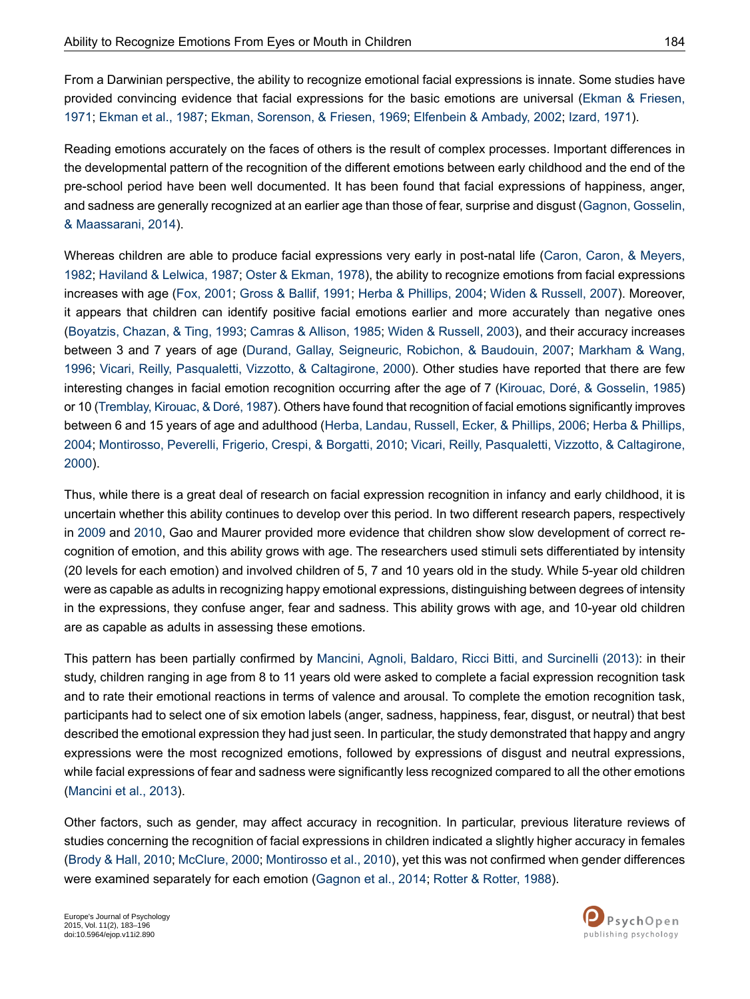From a Darwinian perspective, the ability to recognize emotional facial expressions is innate. Some studies have provided convincing evidence that facial expressions for the basic emotions are universal (Ekman & [Friesen,](#page-10-2) [1971](#page-10-2); [Ekman](#page-10-3) et al., 1987; Ekman, [Sorenson,](#page-10-4) & Friesen, 1969; [Elfenbein](#page-10-5) & Ambady, 2002; [Izard,](#page-11-2) 1971).

Reading emotions accurately on the faces of others is the result of complex processes. Important differences in the developmental pattern of the recognition of the different emotions between early childhood and the end of the pre-school period have been well documented. It has been found that facial expressions of happiness, anger, and sadness are generally recognized at an earlier age than those of fear, surprise and disgust (Gagnon, [Gosselin,](#page-11-3) & [Maassarani,](#page-11-3) 2014).

Whereas children are able to produce facial expressions very early in post-natal life (Caron, Caron, & [Meyers,](#page-10-6) [1982](#page-10-6); [Haviland](#page-11-4) & Lelwica, 1987; Oster & [Ekman,](#page-12-2) 1978), the ability to recognize emotions from facial expressions increases with age (Fox, [2001;](#page-11-5) [Gross](#page-11-6) & Ballif, 1991; Herba & [Phillips,](#page-11-7) 2004; Widen & [Russell,](#page-13-1) 2007). Moreover, it appears that children can identify positive facial emotions earlier and more accurately than negative ones [\(Boyatzis,](#page-10-7) Chazan, & Ting, 1993; [Camras](#page-10-8) & Allison, 1985; Widen & [Russell,](#page-13-2) 2003), and their accuracy increases between 3 and 7 years of age (Durand, Gallay, [Seigneuric,](#page-10-9) Robichon, & Baudouin, 2007; [Markham](#page-12-3) & Wang, [1996](#page-12-3); Vicari, Reilly, Pasqualetti, Vizzotto, & [Caltagirone,](#page-13-3) 2000). Other studies have reported that there are few interesting changes in facial emotion recognition occurring after the age of 7 (Kirouac, Doré, & [Gosselin,](#page-11-8) 1985) or 10 (Tremblay, Kirouac, & Doré, 1987). Others have found that recognition of facial emotions significantly improves between 6 and 15 years of age and adulthood (Herba, [Landau,](#page-11-9) Russell, Ecker, & Phillips, 2006; Herba & [Phillips,](#page-11-7) [2004](#page-11-7); [Montirosso,](#page-12-4) Peverelli, Frigerio, Crespi, & Borgatti, 2010; Vicari, Reilly, Pasqualetti, Vizzotto, & [Caltagirone,](#page-13-3) [2000](#page-13-3)).

Thus, while there is a great deal of research on facial expression recognition in infancy and early childhood, it is uncertain whether this ability continues to develop over this period. In two different research papers, respectively in [2009](#page-11-10) and [2010,](#page-11-11) Gao and Maurer provided more evidence that children show slow development of correct recognition of emotion, and this ability grows with age. The researchers used stimuli sets differentiated by intensity (20 levels for each emotion) and involved children of 5, 7 and 10 years old in the study. While 5-year old children were as capable as adults in recognizing happy emotional expressions, distinguishing between degrees of intensity in the expressions, they confuse anger, fear and sadness. This ability grows with age, and 10-year old children are as capable as adults in assessing these emotions.

This pattern has been partially confirmed by Mancini, Agnoli, Baldaro, Ricci Bitti, and [Surcinelli](#page-12-5) (2013): in their study, children ranging in age from 8 to 11 years old were asked to complete a facial expression recognition task and to rate their emotional reactions in terms of valence and arousal. To complete the emotion recognition task, participants had to select one of six emotion labels (anger, sadness, happiness, fear, disgust, or neutral) that best described the emotional expression they had just seen. In particular, the study demonstrated that happy and angry expressions were the most recognized emotions, followed by expressions of disgust and neutral expressions, while facial expressions of fear and sadness were significantly less recognized compared to all the other emotions [\(Mancini](#page-12-5) et al., 2013).

Other factors, such as gender, may affect accuracy in recognition. In particular, previous literature reviews of studies concerning the recognition of facial expressions in children indicated a slightly higher accuracy in females [\(Brody](#page-10-10) & Hall, 2010; [McClure,](#page-12-6) 2000; [Montirosso](#page-12-4) et al., 2010), yet this was not confirmed when gender differences were examined separately for each emotion [\(Gagnon](#page-11-3) et al., 2014; Rotter & [Rotter,](#page-12-7) 1988).

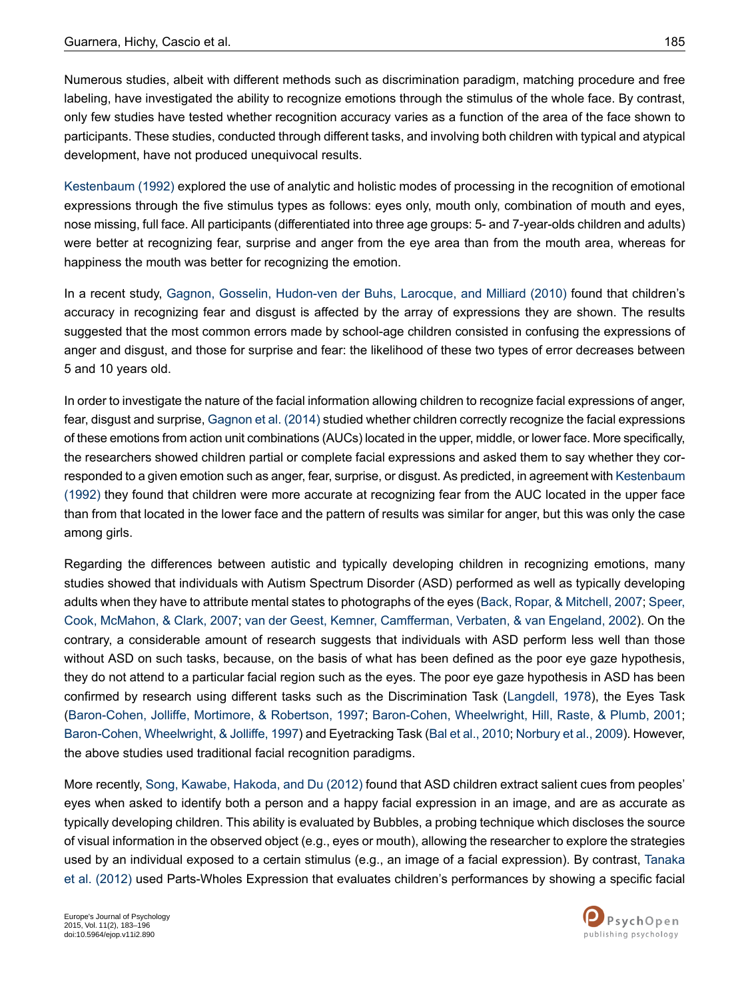Numerous studies, albeit with different methods such as discrimination paradigm, matching procedure and free labeling, have investigated the ability to recognize emotions through the stimulus of the whole face. By contrast, only few studies have tested whether recognition accuracy varies as a function of the area of the face shown to participants. These studies, conducted through different tasks, and involving both children with typical and atypical development, have not produced unequivocal results.

[Kestenbaum](#page-11-12) (1992) explored the use of analytic and holistic modes of processing in the recognition of emotional expressions through the five stimulus types as follows: eyes only, mouth only, combination of mouth and eyes, nose missing, full face. All participants (differentiated into three age groups: 5- and 7-year-olds children and adults) were better at recognizing fear, surprise and anger from the eye area than from the mouth area, whereas for happiness the mouth was better for recognizing the emotion.

In a recent study, Gagnon, Gosselin, [Hudon-ven](#page-11-13) der Buhs, Larocque, and Milliard (2010) found that children's accuracy in recognizing fear and disgust is affected by the array of expressions they are shown. The results suggested that the most common errors made by school-age children consisted in confusing the expressions of anger and disgust, and those for surprise and fear: the likelihood of these two types of error decreases between 5 and 10 years old.

In order to investigate the nature of the facial information allowing children to recognize facial expressions of anger, fear, disgust and surprise, [Gagnon](#page-11-3) et al. (2014) studied whether children correctly recognize the facial expressions of these emotions from action unit combinations (AUCs) located in the upper, middle, or lower face. More specifically, the researchers showed children partial or complete facial expressions and asked them to say whether they cor-responded to a given emotion such as anger, fear, surprise, or disgust. As predicted, in agreement with [Kestenbaum](#page-11-12) [\(1992\)](#page-11-12) they found that children were more accurate at recognizing fear from the AUC located in the upper face than from that located in the lower face and the pattern of results was similar for anger, but this was only the case among girls.

Regarding the differences between autistic and typically developing children in recognizing emotions, many studies showed that individuals with Autism Spectrum Disorder (ASD) performed as well as typically developing adults when they have to attribute mental states to photographs of the eyes (Back, Ropar, & [Mitchell,](#page-9-0) 2007; [Speer,](#page-12-8) Cook, [McMahon,](#page-12-8) & Clark, 2007; van der Geest, Kemner, [Camfferman,](#page-13-5) Verbaten, & van Engeland, 2002). On the contrary, a considerable amount of research suggests that individuals with ASD perform less well than those without ASD on such tasks, because, on the basis of what has been defined as the poor eye gaze hypothesis, they do not attend to a particular facial region such as the eyes. The poor eye gaze hypothesis in ASD has been confirmed by research using different tasks such as the Discrimination Task ([Langdell,](#page-12-9) 1978), the Eyes Task [\(Baron-Cohen,](#page-9-1) Jolliffe, Mortimore, & Robertson, 1997; [Baron-Cohen,](#page-10-11) Wheelwright, Hill, Raste, & Plumb, 2001; [Baron-Cohen,](#page-10-12) Wheelwright, & Jolliffe, 1997) and Eyetracking Task (Bal et al., [2010](#page-9-2); [Norbury](#page-12-10) et al., 2009). However, the above studies used traditional facial recognition paradigms.

More recently, Song, [Kawabe,](#page-12-11) Hakoda, and Du (2012) found that ASD children extract salient cues from peoples' eyes when asked to identify both a person and a happy facial expression in an image, and are as accurate as typically developing children. This ability is evaluated by Bubbles, a probing technique which discloses the source of visual information in the observed object (e.g., eyes or mouth), allowing the researcher to explore the strategies used by an individual exposed to a certain stimulus (e.g., an image of a facial expression). By contrast, [Tanaka](#page-12-1) et al. [\(2012\)](#page-12-1) used Parts-Wholes Expression that evaluates children's performances by showing a specific facial

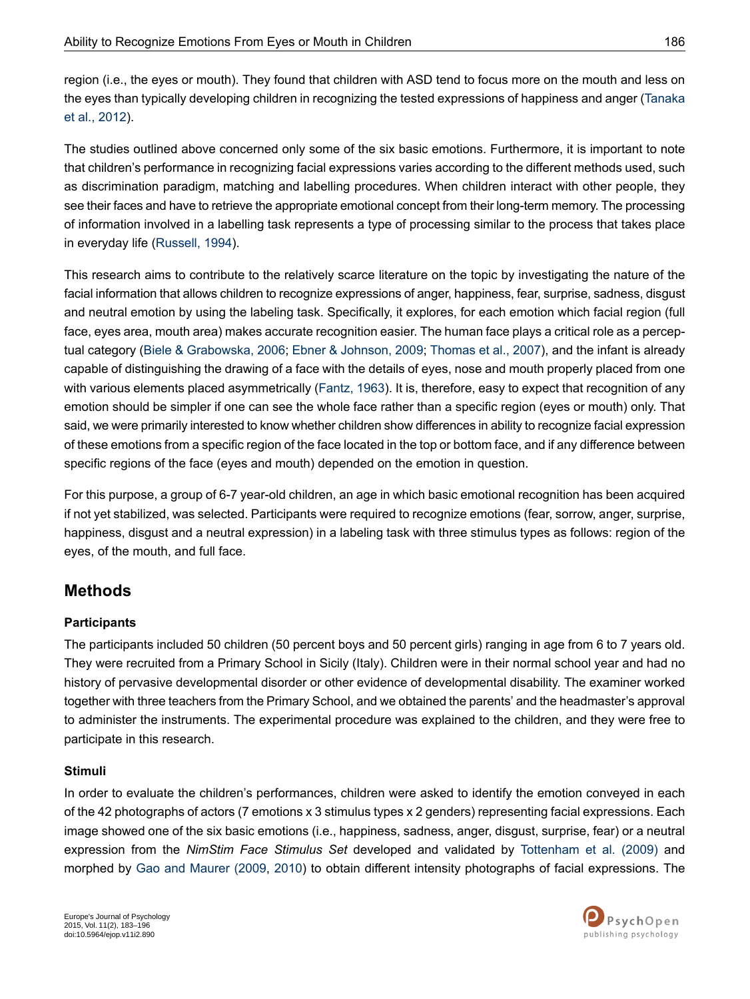region (i.e., the eyes or mouth). They found that children with ASD tend to focus more on the mouth and less on the eyes than typically developing children in recognizing the tested expressions of happiness and anger [\(Tanaka](#page-12-1) et al., [2012](#page-12-1)).

The studies outlined above concerned only some of the six basic emotions. Furthermore, it is important to note that children's performance in recognizing facial expressions varies according to the different methods used, such as discrimination paradigm, matching and labelling procedures. When children interact with other people, they see their faces and have to retrieve the appropriate emotional concept from their long-term memory. The processing of information involved in a labelling task represents a type of processing similar to the process that takes place in everyday life ([Russell,](#page-12-12) 1994).

This research aims to contribute to the relatively scarce literature on the topic by investigating the nature of the facial information that allows children to recognize expressions of anger, happiness, fear, surprise, sadness, disgust and neutral emotion by using the labeling task. Specifically, it explores, for each emotion which facial region (full face, eyes area, mouth area) makes accurate recognition easier. The human face plays a critical role as a perceptual category (Biele & [Grabowska,](#page-10-0) 2006; Ebner & [Johnson,](#page-10-1) 2009; [Thomas](#page-13-0) et al., 2007), and the infant is already capable of distinguishing the drawing of a face with the details of eyes, nose and mouth properly placed from one with various elements placed asymmetrically [\(Fantz,](#page-11-14) 1963). It is, therefore, easy to expect that recognition of any emotion should be simpler if one can see the whole face rather than a specific region (eyes or mouth) only. That said, we were primarily interested to know whether children show differences in ability to recognize facial expression of these emotions from a specific region of the face located in the top or bottom face, and if any difference between specific regions of the face (eyes and mouth) depended on the emotion in question.

For this purpose, a group of 6-7 year-old children, an age in which basic emotional recognition has been acquired if not yet stabilized, was selected. Participants were required to recognize emotions (fear, sorrow, anger, surprise, happiness, disgust and a neutral expression) in a labeling task with three stimulus types as follows: region of the eyes, of the mouth, and full face.

## **Methods**

#### **Participants**

The participants included 50 children (50 percent boys and 50 percent girls) ranging in age from 6 to 7 years old. They were recruited from a Primary School in Sicily (Italy). Children were in their normal school year and had no history of pervasive developmental disorder or other evidence of developmental disability. The examiner worked together with three teachers from the Primary School, and we obtained the parents' and the headmaster's approval to administer the instruments. The experimental procedure was explained to the children, and they were free to participate in this research.

#### **Stimuli**

In order to evaluate the children's performances, children were asked to identify the emotion conveyed in each of the 42 photographs of actors (7 emotions x 3 stimulus types x 2 genders) representing facial expressions. Each image showed one of the six basic emotions (i.e., happiness, sadness, anger, disgust, surprise, fear) or a neutral expression from the *NimStim Face Stimulus Set* developed and validated by [Tottenham](#page-13-6) et al. (2009) and morphed by Gao and [Maurer](#page-11-10) (2009, [2010](#page-11-11)) to obtain different intensity photographs of facial expressions. The

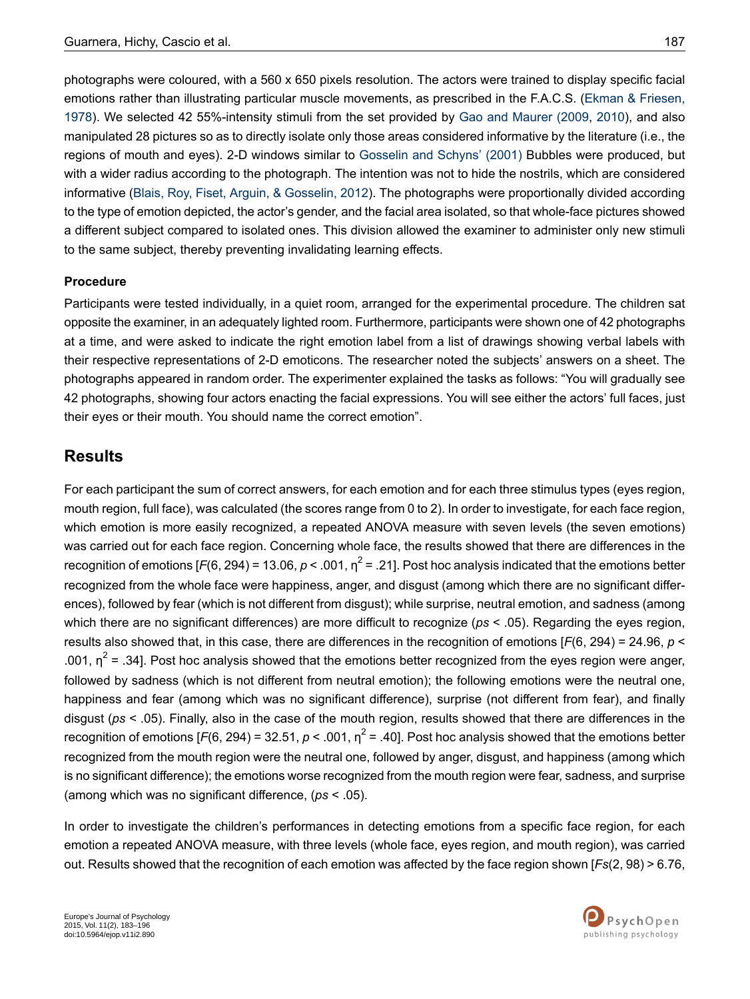photographs were coloured, with a 560 x 650 pixels resolution. The actors were trained to display specific facial emotions rather than illustrating particular muscle movements, as prescribed in the F.A.C.S. (Ekman & [Friesen,](#page-10-13) [1978](#page-10-13)). We selected 42 55%-intensity stimuli from the set provided by Gao and [Maurer](#page-11-10) (2009, [2010](#page-11-11)), and also manipulated 28 pictures so as to directly isolate only those areas considered informative by the literature (i.e., the regions of mouth and eyes). 2-D windows similar to [Gosselin](#page-11-15) and Schyns' (2001) Bubbles were produced, but with a wider radius according to the photograph. The intention was not to hide the nostrils, which are considered informative (Blais, Roy, Fiset, Arguin, & [Gosselin,](#page-10-14) 2012). The photographs were proportionally divided according to the type of emotion depicted, the actor's gender, and the facial area isolated, so that whole-face pictures showed a different subject compared to isolated ones. This division allowed the examiner to administer only new stimuli to the same subject, thereby preventing invalidating learning effects.

#### **Procedure**

Participants were tested individually, in a quiet room, arranged for the experimental procedure. The children sat opposite the examiner, in an adequately lighted room. Furthermore, participants were shown one of 42 photographs at a time, and were asked to indicate the right emotion label from a list of drawings showing verbal labels with their respective representations of 2-D emoticons. The researcher noted the subjects' answers on a sheet. The photographs appeared in random order. The experimenter explained the tasks as follows: "You will gradually see 42 photographs, showing four actors enacting the facial expressions. You will see either the actors' full faces, just their eyes or their mouth. You should name the correct emotion".

### **Results**

For each participant the sum of correct answers, for each emotion and for each three stimulus types (eyes region, mouth region, full face), was calculated (the scores range from 0 to 2). In order to investigate, for each face region, which emotion is more easily recognized, a repeated ANOVA measure with seven levels (the seven emotions) was carried out for each face region. Concerning whole face, the results showed that there are differences in the recognition of emotions [ $F(6, 294)$  = 13.06,  $p < .001$ ,  $\eta^2$  = .21]. Post hoc analysis indicated that the emotions better recognized from the whole face were happiness, anger, and disgust (among which there are no significant differences), followed by fear (which is not different from disgust); while surprise, neutral emotion, and sadness (among which there are no significant differences) are more difficult to recognize (*ps* < .05). Regarding the eyes region, results also showed that, in this case, there are differences in the recognition of emotions [*F*(6, 294) = 24.96, *p* < .001, η<sup>2</sup> = .34]. Post hoc analysis showed that the emotions better recognized from the eyes region were anger, followed by sadness (which is not different from neutral emotion); the following emotions were the neutral one, happiness and fear (among which was no significant difference), surprise (not different from fear), and finally disgust (*ps* < .05). Finally, also in the case of the mouth region, results showed that there are differences in the recognition of emotions [F(6, 294) = 32.51,  $p < .001$ ,  $\eta^2$  = .40]. Post hoc analysis showed that the emotions better recognized from the mouth region were the neutral one, followed by anger, disgust, and happiness (among which is no significant difference); the emotions worse recognized from the mouth region were fear, sadness, and surprise (among which was no significant difference, (*ps* < .05).

In order to investigate the children's performances in detecting emotions from a specific face region, for each emotion a repeated ANOVA measure, with three levels (whole face, eyes region, and mouth region), was carried out. Results showed that the recognition of each emotion was affected by the face region shown [*Fs*(2, 98) > 6.76,

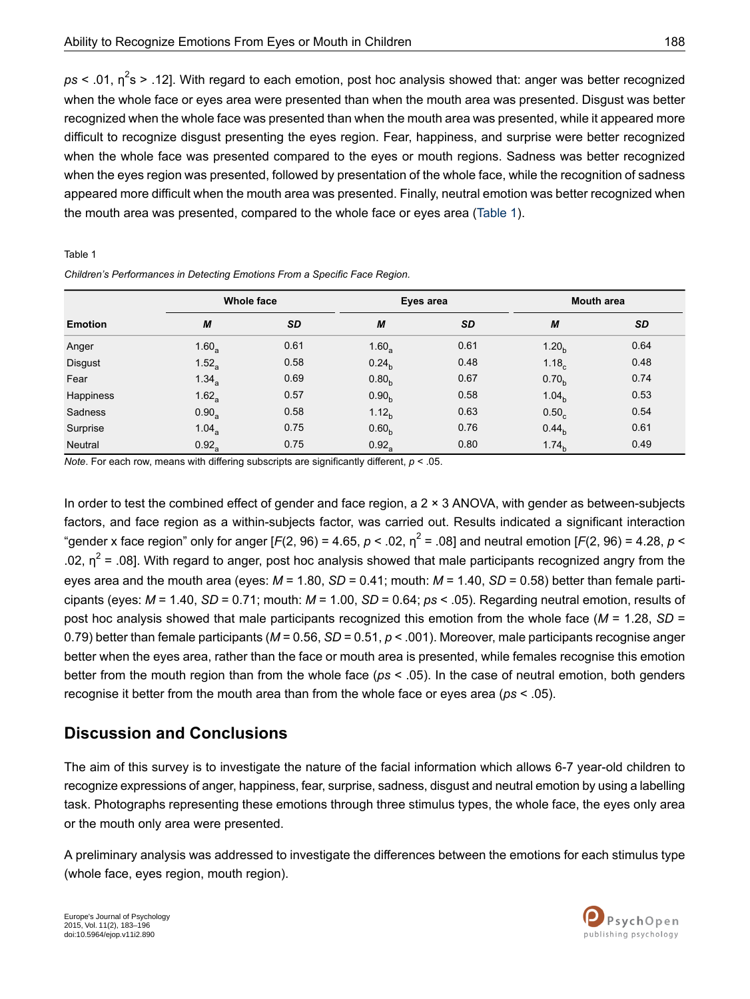ps < .01, n<sup>2</sup>s > .12]. With regard to each emotion, post hoc analysis showed that: anger was better recognized when the whole face or eyes area were presented than when the mouth area was presented. Disgust was better recognized when the whole face was presented than when the mouth area was presented, while it appeared more difficult to recognize disgust presenting the eyes region. Fear, happiness, and surprise were better recognized when the whole face was presented compared to the eyes or mouth regions. Sadness was better recognized when the eyes region was presented, followed by presentation of the whole face, while the recognition of sadness appeared more difficult when the mouth area was presented. Finally, neutral emotion was better recognized when the mouth area was presented, compared to the whole face or eyes area ([Table](#page-5-0) 1).

#### <span id="page-5-0"></span>Table 1

| <b>Emotion</b> | <b>Whole face</b> |      | Eyes area         |           | <b>Mouth area</b> |      |
|----------------|-------------------|------|-------------------|-----------|-------------------|------|
|                | M                 | SD   | M                 | <b>SD</b> | M                 | SD   |
| Anger          | $1.60_a$          | 0.61 | $1.60_a$          | 0.61      | 1.20 <sub>h</sub> | 0.64 |
| Disgust        | $1.52_a$          | 0.58 | 0.24 <sub>h</sub> | 0.48      | 1.18 <sub>c</sub> | 0.48 |
| Fear           | $1.34_a$          | 0.69 | 0.80 <sub>h</sub> | 0.67      | 0.70 <sub>h</sub> | 0.74 |
| Happiness      | $1.62_a$          | 0.57 | 0.90 <sub>h</sub> | 0.58      | 1.04 <sub>h</sub> | 0.53 |
| Sadness        | $0.90_a$          | 0.58 | 1.12 <sub>h</sub> | 0.63      | $0.50_c$          | 0.54 |
| Surprise       | $1.04_a$          | 0.75 | 0.60 <sub>h</sub> | 0.76      | 0.44 <sub>h</sub> | 0.61 |
| Neutral        | $0.92_a$          | 0.75 | $0.92_a$          | 0.80      | 1.74 <sub>b</sub> | 0.49 |

*Children's Performances in Detecting Emotions From a Specific Face Region.*

*Note*. For each row, means with differing subscripts are significantly different, *p* < .05.

In order to test the combined effect of gender and face region, a  $2 \times 3$  ANOVA, with gender as between-subjects factors, and face region as a within-subjects factor, was carried out. Results indicated a significant interaction "gender x face region" only for anger [F(2, 96) = 4.65,  $p < .02$ ,  $\eta^2$  = .08] and neutral emotion [F(2, 96) = 4.28,  $p <$ .02,  $\eta^2$  = .08]. With regard to anger, post hoc analysis showed that male participants recognized angry from the eyes area and the mouth area (eyes:  $M = 1.80$ ,  $SD = 0.41$ ; mouth:  $M = 1.40$ ,  $SD = 0.58$ ) better than female participants (eyes: *M* = 1.40, *SD* = 0.71; mouth: *M* = 1.00, *SD* = 0.64; *ps* < .05). Regarding neutral emotion, results of post hoc analysis showed that male participants recognized this emotion from the whole face (*M* = 1.28, *SD* = 0.79) better than female participants (*M* = 0.56, *SD* = 0.51, *p* < .001). Moreover, male participants recognise anger better when the eyes area, rather than the face or mouth area is presented, while females recognise this emotion better from the mouth region than from the whole face (*ps* < .05). In the case of neutral emotion, both genders recognise it better from the mouth area than from the whole face or eyes area (*ps* < .05).

## **Discussion and Conclusions**

The aim of this survey is to investigate the nature of the facial information which allows 6-7 year-old children to recognize expressions of anger, happiness, fear, surprise, sadness, disgust and neutral emotion by using a labelling task. Photographs representing these emotions through three stimulus types, the whole face, the eyes only area or the mouth only area were presented.

A preliminary analysis was addressed to investigate the differences between the emotions for each stimulus type (whole face, eyes region, mouth region).

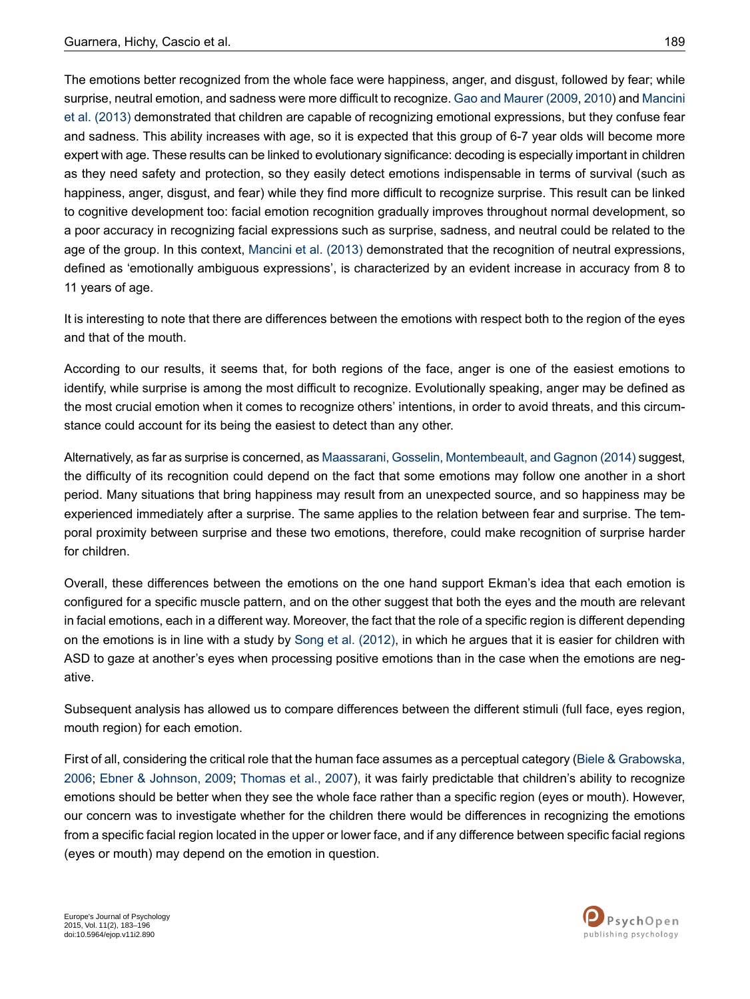The emotions better recognized from the whole face were happiness, anger, and disgust, followed by fear; while surprise, neutral emotion, and sadness were more difficult to recognize. Gao and [Maurer](#page-11-10) (2009, [2010](#page-11-11)) and [Mancini](#page-12-5) et al. [\(2013\)](#page-12-5) demonstrated that children are capable of recognizing emotional expressions, but they confuse fear and sadness. This ability increases with age, so it is expected that this group of 6-7 year olds will become more expert with age. These results can be linked to evolutionary significance: decoding is especially important in children as they need safety and protection, so they easily detect emotions indispensable in terms of survival (such as happiness, anger, disgust, and fear) while they find more difficult to recognize surprise. This result can be linked to cognitive development too: facial emotion recognition gradually improves throughout normal development, so a poor accuracy in recognizing facial expressions such as surprise, sadness, and neutral could be related to the age of the group. In this context, [Mancini](#page-12-5) et al. (2013) demonstrated that the recognition of neutral expressions, defined as 'emotionally ambiguous expressions', is characterized by an evident increase in accuracy from 8 to 11 years of age.

It is interesting to note that there are differences between the emotions with respect both to the region of the eyes and that of the mouth.

According to our results, it seems that, for both regions of the face, anger is one of the easiest emotions to identify, while surprise is among the most difficult to recognize. Evolutionally speaking, anger may be defined as the most crucial emotion when it comes to recognize others' intentions, in order to avoid threats, and this circumstance could account for its being the easiest to detect than any other.

Alternatively, as far as surprise is concerned, as Maassarani, Gosselin, Montembeault, and Gagnon (2014) suggest, the difficulty of its recognition could depend on the fact that some emotions may follow one another in a short period. Many situations that bring happiness may result from an unexpected source, and so happiness may be experienced immediately after a surprise. The same applies to the relation between fear and surprise. The temporal proximity between surprise and these two emotions, therefore, could make recognition of surprise harder for children.

Overall, these differences between the emotions on the one hand support Ekman's idea that each emotion is configured for a specific muscle pattern, and on the other suggest that both the eyes and the mouth are relevant in facial emotions, each in a different way. Moreover, the fact that the role of a specific region is different depending on the emotions is in line with a study by Song et al. [\(2012\),](#page-12-11) in which he argues that it is easier for children with ASD to gaze at another's eyes when processing positive emotions than in the case when the emotions are negative.

Subsequent analysis has allowed us to compare differences between the different stimuli (full face, eyes region, mouth region) for each emotion.

First of all, considering the critical role that the human face assumes as a perceptual category (Biele & [Grabowska,](#page-10-0) [2006](#page-10-0); Ebner & [Johnson,](#page-10-1) 2009; [Thomas](#page-13-0) et al., 2007), it was fairly predictable that children's ability to recognize emotions should be better when they see the whole face rather than a specific region (eyes or mouth). However, our concern was to investigate whether for the children there would be differences in recognizing the emotions from a specific facial region located in the upper or lower face, and if any difference between specific facial regions (eyes or mouth) may depend on the emotion in question.

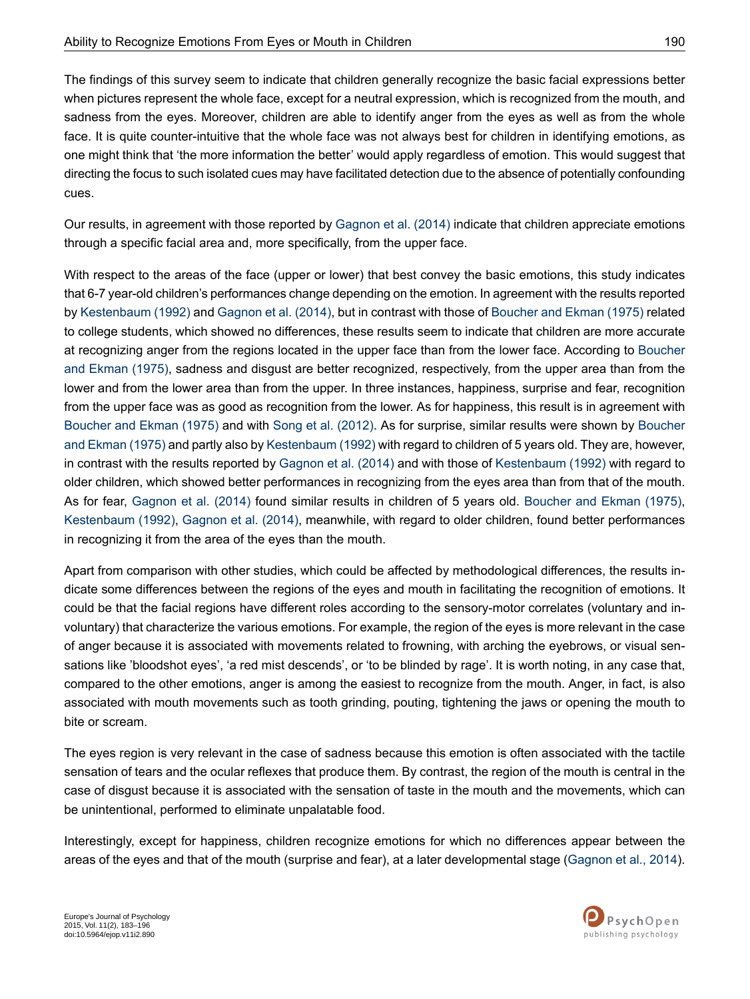The findings of this survey seem to indicate that children generally recognize the basic facial expressions better when pictures represent the whole face, except for a neutral expression, which is recognized from the mouth, and sadness from the eyes. Moreover, children are able to identify anger from the eyes as well as from the whole face. It is quite counter-intuitive that the whole face was not always best for children in identifying emotions, as one might think that 'the more information the better' would apply regardless of emotion. This would suggest that directing the focus to such isolated cues may have facilitated detection due to the absence of potentially confounding cues.

Our results, in agreement with those reported by [Gagnon](#page-11-3) et al. (2014) indicate that children appreciate emotions through a specific facial area and, more specifically, from the upper face.

With respect to the areas of the face (upper or lower) that best convey the basic emotions, this study indicates that 6-7 year-old children's performances change depending on the emotion. In agreement with the results reported by [Kestenbaum](#page-11-12) (1992) and [Gagnon](#page-11-3) et al. (2014), but in contrast with those of [Boucher](#page-10-15) and Ekman (1975) related to college students, which showed no differences, these results seem to indicate that children are more accurate at recognizing anger from the regions located in the upper face than from the lower face. According to [Boucher](#page-10-15) and [Ekman](#page-10-15) (1975), sadness and disgust are better recognized, respectively, from the upper area than from the lower and from the lower area than from the upper. In three instances, happiness, surprise and fear, recognition from the upper face was as good as recognition from the lower. As for happiness, this result is in agreement with [Boucher](#page-10-15) and Ekman (1975) and with Song et al. [\(2012\).](#page-12-11) As for surprise, similar results were shown by [Boucher](#page-10-15) and [Ekman](#page-10-15) (1975) and partly also by [Kestenbaum](#page-11-12) (1992) with regard to children of 5 years old. They are, however, in contrast with the results reported by [Gagnon](#page-11-3) et al. (2014) and with those of [Kestenbaum](#page-11-12) (1992) with regard to older children, which showed better performances in recognizing from the eyes area than from that of the mouth. As for fear, [Gagnon](#page-11-3) et al. (2014) found similar results in children of 5 years old. [Boucher](#page-10-15) and Ekman (1975), [Kestenbaum](#page-11-12) (1992), [Gagnon](#page-11-3) et al. (2014), meanwhile, with regard to older children, found better performances in recognizing it from the area of the eyes than the mouth.

Apart from comparison with other studies, which could be affected by methodological differences, the results indicate some differences between the regions of the eyes and mouth in facilitating the recognition of emotions. It could be that the facial regions have different roles according to the sensory-motor correlates (voluntary and involuntary) that characterize the various emotions. For example, the region of the eyes is more relevant in the case of anger because it is associated with movements related to frowning, with arching the eyebrows, or visual sensations like 'bloodshot eyes', 'a red mist descends', or 'to be blinded by rage'. It is worth noting, in any case that, compared to the other emotions, anger is among the easiest to recognize from the mouth. Anger, in fact, is also associated with mouth movements such as tooth grinding, pouting, tightening the jaws or opening the mouth to bite or scream.

The eyes region is very relevant in the case of sadness because this emotion is often associated with the tactile sensation of tears and the ocular reflexes that produce them. By contrast, the region of the mouth is central in the case of disgust because it is associated with the sensation of taste in the mouth and the movements, which can be unintentional, performed to eliminate unpalatable food.

Interestingly, except for happiness, children recognize emotions for which no differences appear between the areas of the eyes and that of the mouth (surprise and fear), at a later developmental stage [\(Gagnon](#page-11-3) et al., 2014).

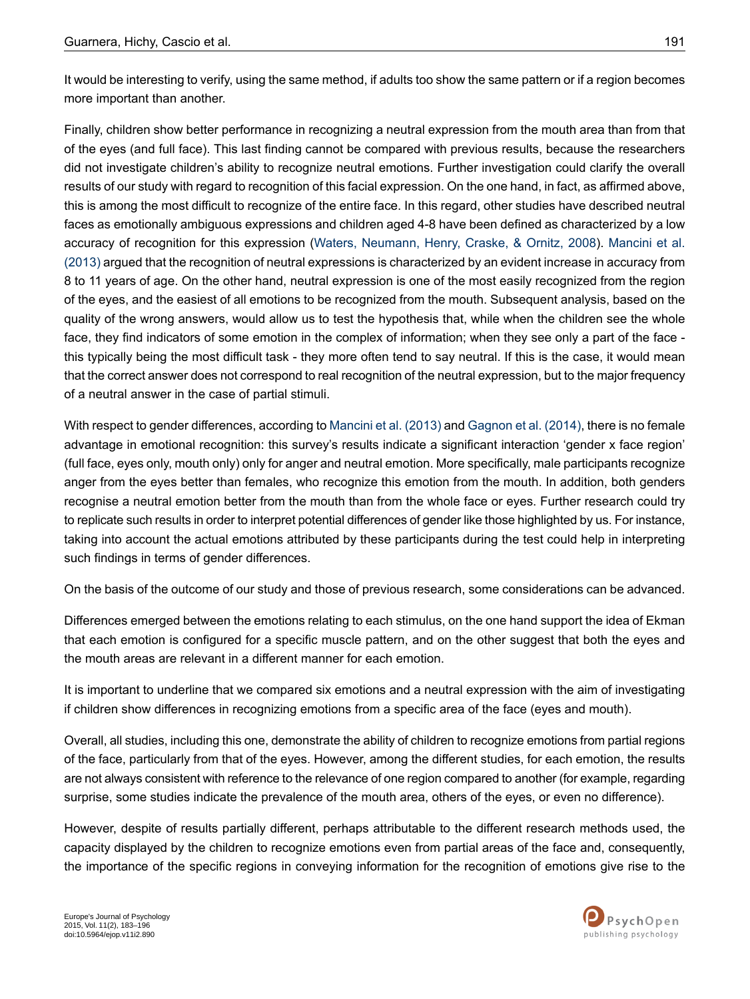It would be interesting to verify, using the same method, if adults too show the same pattern or if a region becomes more important than another.

Finally, children show better performance in recognizing a neutral expression from the mouth area than from that of the eyes (and full face). This last finding cannot be compared with previous results, because the researchers did not investigate children's ability to recognize neutral emotions. Further investigation could clarify the overall results of our study with regard to recognition of this facial expression. On the one hand, in fact, as affirmed above, this is among the most difficult to recognize of the entire face. In this regard, other studies have described neutral faces as emotionally ambiguous expressions and children aged 4-8 have been defined as characterized by a low accuracy of recognition for this expression (Waters, [Neumann,](#page-13-7) Henry, Craske, & Ornitz, 2008). [Mancini](#page-12-5) et al. [\(2013\)](#page-12-5) argued that the recognition of neutral expressions is characterized by an evident increase in accuracy from 8 to 11 years of age. On the other hand, neutral expression is one of the most easily recognized from the region of the eyes, and the easiest of all emotions to be recognized from the mouth. Subsequent analysis, based on the quality of the wrong answers, would allow us to test the hypothesis that, while when the children see the whole face, they find indicators of some emotion in the complex of information; when they see only a part of the face this typically being the most difficult task - they more often tend to say neutral. If this is the case, it would mean that the correct answer does not correspond to real recognition of the neutral expression, but to the major frequency of a neutral answer in the case of partial stimuli.

With respect to gender differences, according to [Mancini](#page-12-5) et al. (2013) and [Gagnon](#page-11-3) et al. (2014), there is no female advantage in emotional recognition: this survey's results indicate a significant interaction 'gender x face region' (full face, eyes only, mouth only) only for anger and neutral emotion. More specifically, male participants recognize anger from the eyes better than females, who recognize this emotion from the mouth. In addition, both genders recognise a neutral emotion better from the mouth than from the whole face or eyes. Further research could try to replicate such results in order to interpret potential differences of gender like those highlighted by us. For instance, taking into account the actual emotions attributed by these participants during the test could help in interpreting such findings in terms of gender differences.

On the basis of the outcome of our study and those of previous research, some considerations can be advanced.

Differences emerged between the emotions relating to each stimulus, on the one hand support the idea of Ekman that each emotion is configured for a specific muscle pattern, and on the other suggest that both the eyes and the mouth areas are relevant in a different manner for each emotion.

It is important to underline that we compared six emotions and a neutral expression with the aim of investigating if children show differences in recognizing emotions from a specific area of the face (eyes and mouth).

Overall, all studies, including this one, demonstrate the ability of children to recognize emotions from partial regions of the face, particularly from that of the eyes. However, among the different studies, for each emotion, the results are not always consistent with reference to the relevance of one region compared to another (for example, regarding surprise, some studies indicate the prevalence of the mouth area, others of the eyes, or even no difference).

However, despite of results partially different, perhaps attributable to the different research methods used, the capacity displayed by the children to recognize emotions even from partial areas of the face and, consequently, the importance of the specific regions in conveying information for the recognition of emotions give rise to the

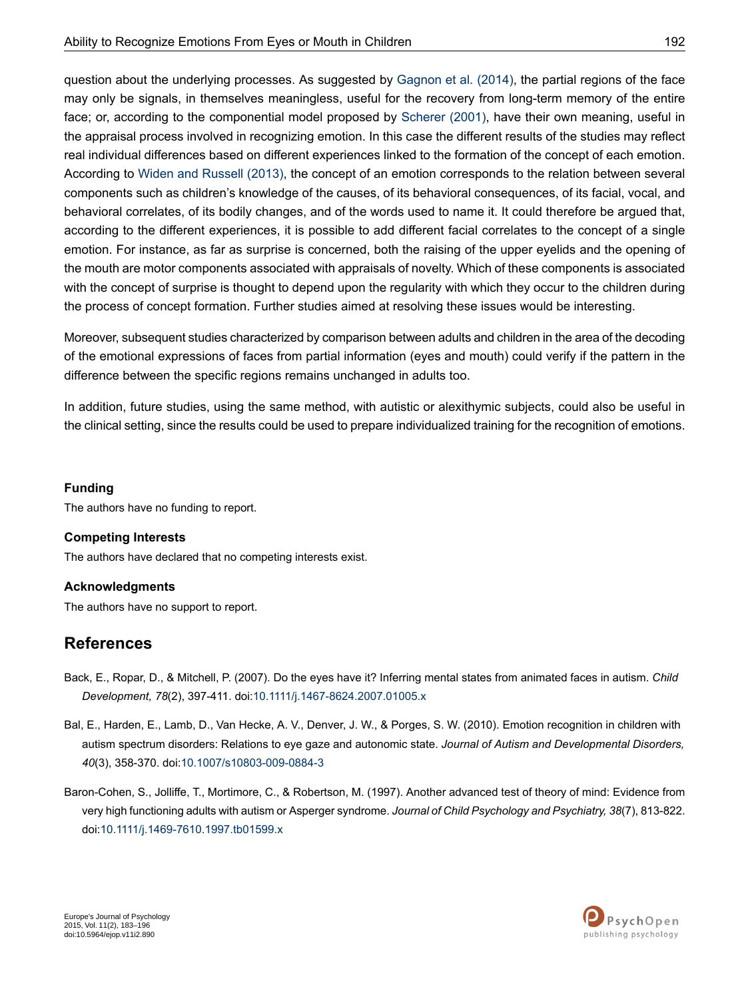question about the underlying processes. As suggested by [Gagnon](#page-11-3) et al. (2014), the partial regions of the face may only be signals, in themselves meaningless, useful for the recovery from long-term memory of the entire face; or, according to the componential model proposed by [Scherer](#page-12-14) (2001), have their own meaning, useful in the appraisal process involved in recognizing emotion. In this case the different results of the studies may reflect real individual differences based on different experiences linked to the formation of the concept of each emotion. According to Widen and [Russell](#page-13-8) (2013), the concept of an emotion corresponds to the relation between several components such as children's knowledge of the causes, of its behavioral consequences, of its facial, vocal, and behavioral correlates, of its bodily changes, and of the words used to name it. It could therefore be argued that, according to the different experiences, it is possible to add different facial correlates to the concept of a single emotion. For instance, as far as surprise is concerned, both the raising of the upper eyelids and the opening of the mouth are motor components associated with appraisals of novelty. Which of these components is associated with the concept of surprise is thought to depend upon the regularity with which they occur to the children during the process of concept formation. Further studies aimed at resolving these issues would be interesting.

Moreover, subsequent studies characterized by comparison between adults and children in the area of the decoding of the emotional expressions of faces from partial information (eyes and mouth) could verify if the pattern in the difference between the specific regions remains unchanged in adults too.

In addition, future studies, using the same method, with autistic or alexithymic subjects, could also be useful in the clinical setting, since the results could be used to prepare individualized training for the recognition of emotions.

#### **Funding**

The authors have no funding to report.

#### **Competing Interests**

The authors have declared that no competing interests exist.

#### **Acknowledgments**

<span id="page-9-0"></span>The authors have no support to report.

### <span id="page-9-2"></span>**References**

- Back, E., Ropar, D., & Mitchell, P. (2007). Do the eyes have it? Inferring mental states from animated faces in autism. *Child Development, 78*(2), 397-411. doi[:10.1111/j.1467-8624.2007.01005.x](http://dx.doi.org/10.1111/j.1467-8624.2007.01005.x)
- <span id="page-9-1"></span>Bal, E., Harden, E., Lamb, D., Van Hecke, A. V., Denver, J. W., & Porges, S. W. (2010). Emotion recognition in children with autism spectrum disorders: Relations to eye gaze and autonomic state. *Journal of Autism and Developmental Disorders, 40*(3), 358-370. doi:[10.1007/s10803-009-0884-3](http://dx.doi.org/10.1007/s10803-009-0884-3)
- Baron-Cohen, S., Jolliffe, T., Mortimore, C., & Robertson, M. (1997). Another advanced test of theory of mind: Evidence from very high functioning adults with autism or Asperger syndrome. *Journal of Child Psychology and Psychiatry, 38*(7), 813-822. doi:[10.1111/j.1469-7610.1997.tb01599.x](http://dx.doi.org/10.1111/j.1469-7610.1997.tb01599.x)

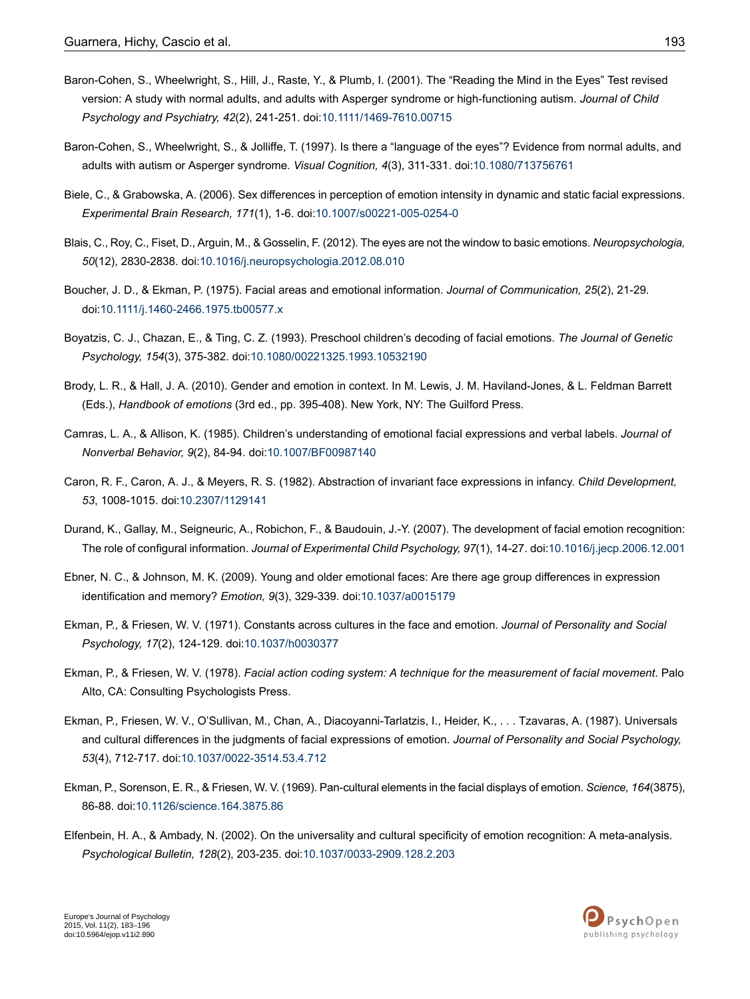- <span id="page-10-11"></span>Baron-Cohen, S., Wheelwright, S., Hill, J., Raste, Y., & Plumb, I. (2001). The "Reading the Mind in the Eyes" Test revised version: A study with normal adults, and adults with Asperger syndrome or high-functioning autism. *Journal of Child Psychology and Psychiatry, 42*(2), 241-251. doi:[10.1111/1469-7610.00715](http://dx.doi.org/10.1111/1469-7610.00715)
- <span id="page-10-12"></span>Baron-Cohen, S., Wheelwright, S., & Jolliffe, T. (1997). Is there a "language of the eyes"? Evidence from normal adults, and adults with autism or Asperger syndrome. *Visual Cognition, 4*(3), 311-331. doi:[10.1080/713756761](http://dx.doi.org/10.1080/713756761)
- <span id="page-10-14"></span><span id="page-10-0"></span>Biele, C., & Grabowska, A. (2006). Sex differences in perception of emotion intensity in dynamic and static facial expressions. *Experimental Brain Research, 171*(1), 1-6. doi:[10.1007/s00221-005-0254-0](http://dx.doi.org/10.1007/s00221-005-0254-0)
- <span id="page-10-15"></span>Blais, C., Roy, C., Fiset, D., Arguin, M., & Gosselin, F. (2012). The eyes are not the window to basic emotions. *Neuropsychologia, 50*(12), 2830-2838. doi:[10.1016/j.neuropsychologia.2012.08.010](http://dx.doi.org/10.1016/j.neuropsychologia.2012.08.010)
- <span id="page-10-7"></span>Boucher, J. D., & Ekman, P. (1975). Facial areas and emotional information. *Journal of Communication, 25*(2), 21-29. doi:[10.1111/j.1460-2466.1975.tb00577.x](http://dx.doi.org/10.1111/j.1460-2466.1975.tb00577.x)
- <span id="page-10-10"></span>Boyatzis, C. J., Chazan, E., & Ting, C. Z. (1993). Preschool children's decoding of facial emotions. *The Journal of Genetic Psychology, 154*(3), 375-382. doi[:10.1080/00221325.1993.10532190](http://dx.doi.org/10.1080/00221325.1993.10532190)
- <span id="page-10-8"></span>Brody, L. R., & Hall, J. A. (2010). Gender and emotion in context. In M. Lewis, J. M. Haviland-Jones, & L. Feldman Barrett (Eds.), *Handbook of emotions* (3rd ed., pp. 395-408). New York, NY: The Guilford Press.
- <span id="page-10-6"></span>Camras, L. A., & Allison, K. (1985). Children's understanding of emotional facial expressions and verbal labels. *Journal of Nonverbal Behavior, 9*(2), 84-94. doi[:10.1007/BF00987140](http://dx.doi.org/10.1007/BF00987140)
- <span id="page-10-9"></span>Caron, R. F., Caron, A. J., & Meyers, R. S. (1982). Abstraction of invariant face expressions in infancy. *Child Development, 53*, 1008-1015. doi:[10.2307/1129141](http://dx.doi.org/10.2307/1129141)
- <span id="page-10-1"></span>Durand, K., Gallay, M., Seigneuric, A., Robichon, F., & Baudouin, J.-Y. (2007). The development of facial emotion recognition: The role of configural information. *Journal of Experimental Child Psychology, 97*(1), 14-27. doi:[10.1016/j.jecp.2006.12.001](http://dx.doi.org/10.1016/j.jecp.2006.12.001)
- <span id="page-10-2"></span>Ebner, N. C., & Johnson, M. K. (2009). Young and older emotional faces: Are there age group differences in expression identification and memory? *Emotion, 9*(3), 329-339. doi:[10.1037/a0015179](http://dx.doi.org/10.1037/a0015179)
- <span id="page-10-13"></span><span id="page-10-3"></span>Ekman, P., & Friesen, W. V. (1971). Constants across cultures in the face and emotion. *Journal of Personality and Social Psychology, 17*(2), 124-129. doi[:10.1037/h0030377](http://dx.doi.org/10.1037/h0030377)
- Ekman, P., & Friesen, W. V. (1978). *Facial action coding system: A technique for the measurement of facial movement*. Palo Alto, CA: Consulting Psychologists Press.
- <span id="page-10-5"></span><span id="page-10-4"></span>Ekman, P., Friesen, W. V., O'Sullivan, M., Chan, A., Diacoyanni-Tarlatzis, I., Heider, K., . . . Tzavaras, A. (1987). Universals and cultural differences in the judgments of facial expressions of emotion. *Journal of Personality and Social Psychology, 53*(4), 712-717. doi:[10.1037/0022-3514.53.4.712](http://dx.doi.org/10.1037/0022-3514.53.4.712)
- Ekman, P., Sorenson, E. R., & Friesen, W. V. (1969). Pan-cultural elements in the facial displays of emotion. *Science, 164*(3875), 86-88. doi:[10.1126/science.164.3875.86](http://dx.doi.org/10.1126/science.164.3875.86)
- Elfenbein, H. A., & Ambady, N. (2002). On the universality and cultural specificity of emotion recognition: A meta-analysis. *Psychological Bulletin, 128*(2), 203-235. doi:[10.1037/0033-2909.128.2.203](http://dx.doi.org/10.1037/0033-2909.128.2.203)

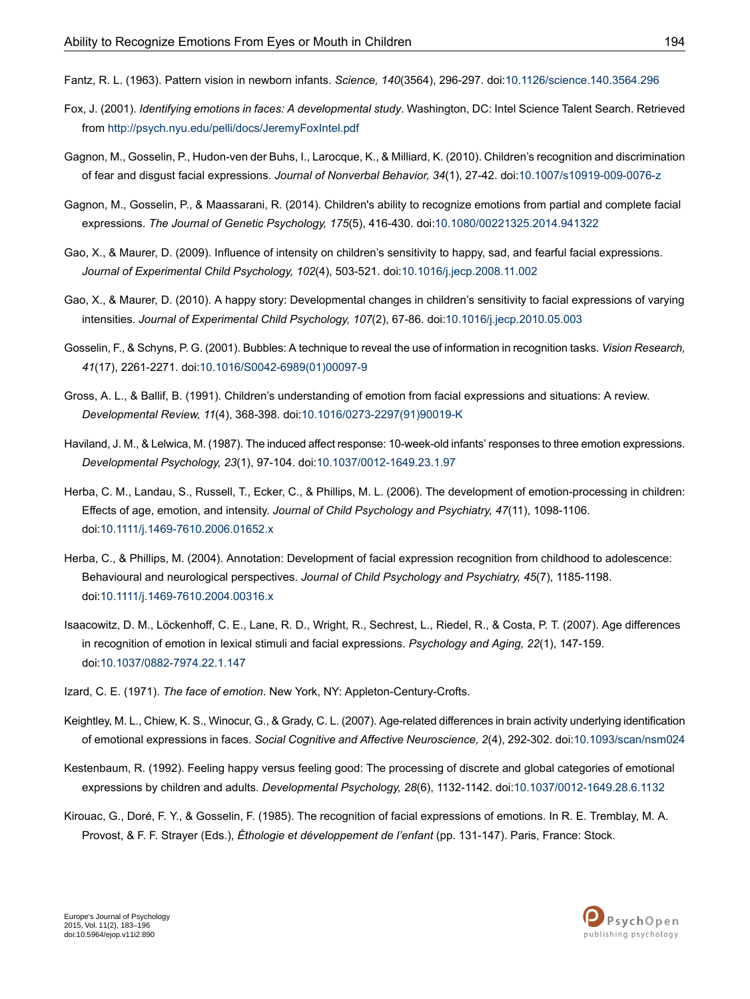- <span id="page-11-14"></span>Fantz, R. L. (1963). Pattern vision in newborn infants. *Science, 140*(3564), 296-297. doi[:10.1126/science.140.3564.296](http://dx.doi.org/10.1126/science.140.3564.296)
- <span id="page-11-5"></span>Fox, J. (2001). *Identifying emotions in faces: A developmental study*. Washington, DC: Intel Science Talent Search. Retrieved from <http://psych.nyu.edu/pelli/docs/JeremyFoxIntel.pdf>
- <span id="page-11-13"></span>Gagnon, M., Gosselin, P., Hudon-ven der Buhs, I., Larocque, K., & Milliard, K. (2010). Children's recognition and discrimination of fear and disgust facial expressions. *Journal of Nonverbal Behavior, 34*(1), 27-42. doi[:10.1007/s10919-009-0076-z](http://dx.doi.org/10.1007/s10919-009-0076-z)
- <span id="page-11-10"></span><span id="page-11-3"></span>Gagnon, M., Gosselin, P., & Maassarani, R. (2014). Children's ability to recognize emotions from partial and complete facial expressions. *The Journal of Genetic Psychology, 175*(5), 416-430. doi:[10.1080/00221325.2014.941322](http://dx.doi.org/10.1080/00221325.2014.941322)
- <span id="page-11-11"></span>Gao, X., & Maurer, D. (2009). Influence of intensity on children's sensitivity to happy, sad, and fearful facial expressions. *Journal of Experimental Child Psychology, 102*(4), 503-521. doi[:10.1016/j.jecp.2008.11.002](http://dx.doi.org/10.1016/j.jecp.2008.11.002)
- <span id="page-11-15"></span>Gao, X., & Maurer, D. (2010). A happy story: Developmental changes in children's sensitivity to facial expressions of varying intensities. *Journal of Experimental Child Psychology, 107*(2), 67-86. doi:[10.1016/j.jecp.2010.05.003](http://dx.doi.org/10.1016/j.jecp.2010.05.003)
- <span id="page-11-6"></span>Gosselin, F., & Schyns, P. G. (2001). Bubbles: A technique to reveal the use of information in recognition tasks. *Vision Research, 41*(17), 2261-2271. doi:[10.1016/S0042-6989\(01\)00097-9](http://dx.doi.org/10.1016/S0042-6989(01)00097-9)
- <span id="page-11-4"></span>Gross, A. L., & Ballif, B. (1991). Children's understanding of emotion from facial expressions and situations: A review. *Developmental Review, 11*(4), 368-398. doi:[10.1016/0273-2297\(91\)90019-K](http://dx.doi.org/10.1016/0273-2297(91)90019-K)
- <span id="page-11-9"></span>Haviland, J. M., & Lelwica, M. (1987). The induced affect response: 10-week-old infants' responses to three emotion expressions. *Developmental Psychology, 23*(1), 97-104. doi:[10.1037/0012-1649.23.1.97](http://dx.doi.org/10.1037/0012-1649.23.1.97)
- <span id="page-11-7"></span>Herba, C. M., Landau, S., Russell, T., Ecker, C., & Phillips, M. L. (2006). The development of emotion-processing in children: Effects of age, emotion, and intensity. *Journal of Child Psychology and Psychiatry, 47*(11), 1098-1106. doi:[10.1111/j.1469-7610.2006.01652.x](http://dx.doi.org/10.1111/j.1469-7610.2006.01652.x)
- <span id="page-11-0"></span>Herba, C., & Phillips, M. (2004). Annotation: Development of facial expression recognition from childhood to adolescence: Behavioural and neurological perspectives. *Journal of Child Psychology and Psychiatry, 45*(7), 1185-1198. doi:[10.1111/j.1469-7610.2004.00316.x](http://dx.doi.org/10.1111/j.1469-7610.2004.00316.x)
- <span id="page-11-2"></span><span id="page-11-1"></span>Isaacowitz, D. M., Löckenhoff, C. E., Lane, R. D., Wright, R., Sechrest, L., Riedel, R., & Costa, P. T. (2007). Age differences in recognition of emotion in lexical stimuli and facial expressions. *Psychology and Aging, 22*(1), 147-159. doi:[10.1037/0882-7974.22.1.147](http://dx.doi.org/10.1037/0882-7974.22.1.147)
- <span id="page-11-12"></span>Izard, C. E. (1971). *The face of emotion*. New York, NY: Appleton-Century-Crofts.
- <span id="page-11-8"></span>Keightley, M. L., Chiew, K. S., Winocur, G., & Grady, C. L. (2007). Age-related differences in brain activity underlying identification of emotional expressions in faces. *Social Cognitive and Affective Neuroscience, 2*(4), 292-302. doi:[10.1093/scan/nsm024](http://dx.doi.org/10.1093/scan/nsm024)
- Kestenbaum, R. (1992). Feeling happy versus feeling good: The processing of discrete and global categories of emotional expressions by children and adults. *Developmental Psychology, 28*(6), 1132-1142. doi[:10.1037/0012-1649.28.6.1132](http://dx.doi.org/10.1037/0012-1649.28.6.1132)
- Kirouac, G., Doré, F. Y., & Gosselin, F. (1985). The recognition of facial expressions of emotions. In R. E. Tremblay, M. A. Provost, & F. F. Strayer (Eds.), *Éthologie et développement de l'enfant* (pp. 131-147). Paris, France: Stock.

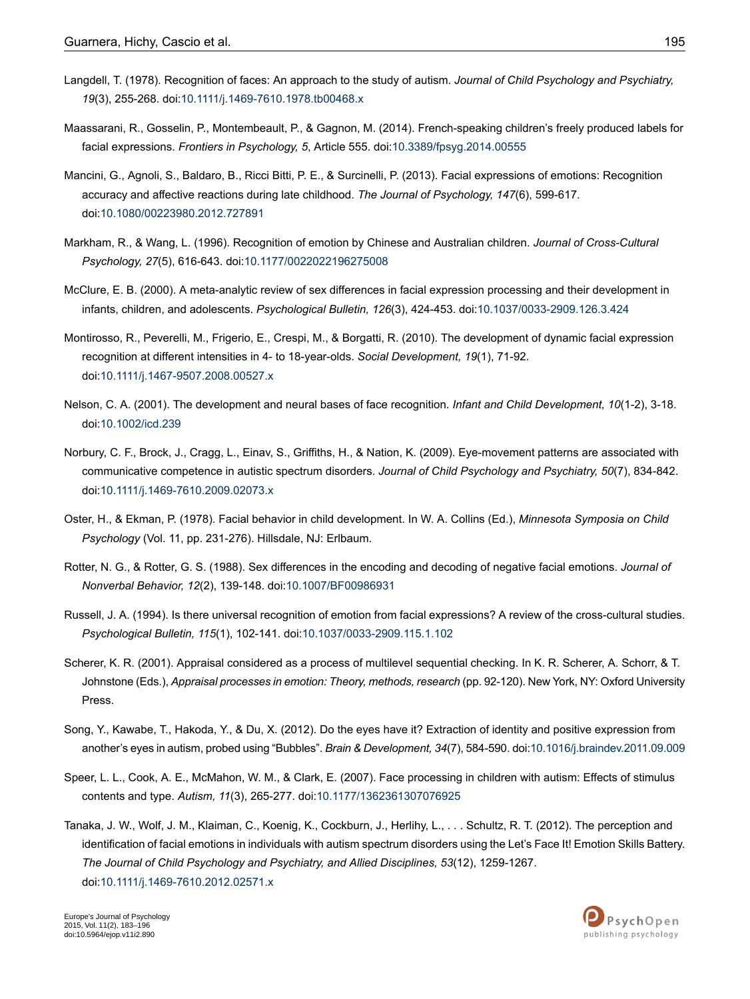- <span id="page-12-9"></span>Langdell, T. (1978). Recognition of faces: An approach to the study of autism. *Journal of Child Psychology and Psychiatry, 19*(3), 255-268. doi:[10.1111/j.1469-7610.1978.tb00468.x](http://dx.doi.org/10.1111/j.1469-7610.1978.tb00468.x)
- <span id="page-12-13"></span>Maassarani, R., Gosselin, P., Montembeault, P., & Gagnon, M. (2014). French-speaking children's freely produced labels for facial expressions. *Frontiers in Psychology, 5*, Article 555. doi[:10.3389/fpsyg.2014.00555](http://dx.doi.org/10.3389/fpsyg.2014.00555)
- <span id="page-12-5"></span>Mancini, G., Agnoli, S., Baldaro, B., Ricci Bitti, P. E., & Surcinelli, P. (2013). Facial expressions of emotions: Recognition accuracy and affective reactions during late childhood. *The Journal of Psychology, 147*(6), 599-617. doi:[10.1080/00223980.2012.727891](http://dx.doi.org/10.1080/00223980.2012.727891)
- <span id="page-12-6"></span><span id="page-12-3"></span>Markham, R., & Wang, L. (1996). Recognition of emotion by Chinese and Australian children. *Journal of Cross-Cultural Psychology, 27*(5), 616-643. doi[:10.1177/0022022196275008](http://dx.doi.org/10.1177/0022022196275008)
- <span id="page-12-4"></span>McClure, E. B. (2000). A meta-analytic review of sex differences in facial expression processing and their development in infants, children, and adolescents. *Psychological Bulletin, 126*(3), 424-453. doi[:10.1037/0033-2909.126.3.424](http://dx.doi.org/10.1037/0033-2909.126.3.424)
- <span id="page-12-0"></span>Montirosso, R., Peverelli, M., Frigerio, E., Crespi, M., & Borgatti, R. (2010). The development of dynamic facial expression recognition at different intensities in 4- to 18-year-olds. *Social Development, 19*(1), 71-92. doi:[10.1111/j.1467-9507.2008.00527.x](http://dx.doi.org/10.1111/j.1467-9507.2008.00527.x)
- <span id="page-12-10"></span>Nelson, C. A. (2001). The development and neural bases of face recognition. *Infant and Child Development, 10*(1-2), 3-18. doi:[10.1002/icd.239](http://dx.doi.org/10.1002/icd.239)
- <span id="page-12-2"></span>Norbury, C. F., Brock, J., Cragg, L., Einav, S., Griffiths, H., & Nation, K. (2009). Eye-movement patterns are associated with communicative competence in autistic spectrum disorders. *Journal of Child Psychology and Psychiatry, 50*(7), 834-842. doi:[10.1111/j.1469-7610.2009.02073.x](http://dx.doi.org/10.1111/j.1469-7610.2009.02073.x)
- <span id="page-12-7"></span>Oster, H., & Ekman, P. (1978). Facial behavior in child development. In W. A. Collins (Ed.), *Minnesota Symposia on Child Psychology* (Vol. 11, pp. 231-276). Hillsdale, NJ: Erlbaum.
- <span id="page-12-12"></span>Rotter, N. G., & Rotter, G. S. (1988). Sex differences in the encoding and decoding of negative facial emotions. *Journal of Nonverbal Behavior, 12*(2), 139-148. doi[:10.1007/BF00986931](http://dx.doi.org/10.1007/BF00986931)
- <span id="page-12-14"></span>Russell, J. A. (1994). Is there universal recognition of emotion from facial expressions? A review of the cross-cultural studies. *Psychological Bulletin, 115*(1), 102-141. doi[:10.1037/0033-2909.115.1.102](http://dx.doi.org/10.1037/0033-2909.115.1.102)
- <span id="page-12-11"></span>Scherer, K. R. (2001). Appraisal considered as a process of multilevel sequential checking. In K. R. Scherer, A. Schorr, & T. Johnstone (Eds.), *Appraisal processes in emotion: Theory, methods, research* (pp. 92-120). New York, NY: Oxford University Press.
- <span id="page-12-8"></span><span id="page-12-1"></span>Song, Y., Kawabe, T., Hakoda, Y., & Du, X. (2012). Do the eyes have it? Extraction of identity and positive expression from another's eyes in autism, probed using "Bubbles". *Brain & Development, 34*(7), 584-590. doi[:10.1016/j.braindev.2011.09.009](http://dx.doi.org/10.1016/j.braindev.2011.09.009)
- Speer, L. L., Cook, A. E., McMahon, W. M., & Clark, E. (2007). Face processing in children with autism: Effects of stimulus contents and type. *Autism, 11*(3), 265-277. doi[:10.1177/1362361307076925](http://dx.doi.org/10.1177/1362361307076925)
- Tanaka, J. W., Wolf, J. M., Klaiman, C., Koenig, K., Cockburn, J., Herlihy, L., . . . Schultz, R. T. (2012). The perception and identification of facial emotions in individuals with autism spectrum disorders using the Let's Face It! Emotion Skills Battery. *The Journal of Child Psychology and Psychiatry, and Allied Disciplines, 53*(12), 1259-1267. doi:[10.1111/j.1469-7610.2012.02571.x](http://dx.doi.org/10.1111/j.1469-7610.2012.02571.x)